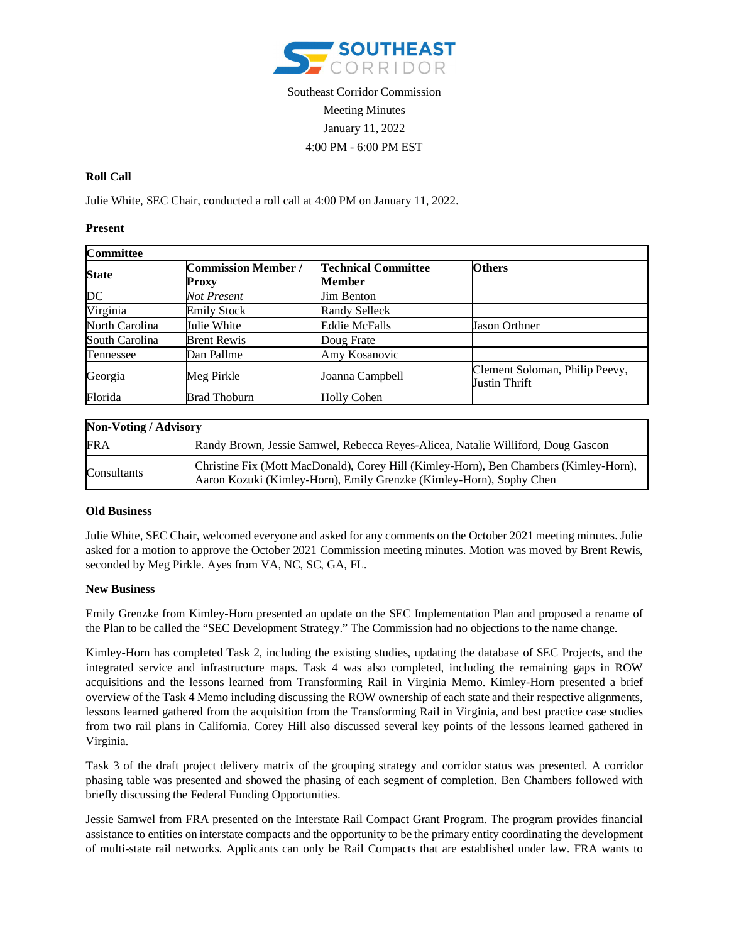

# Southeast Corridor Commission Meeting Minutes January 11, 2022 4:00 PM - 6:00 PM EST

# **Roll Call**

Julie White, SEC Chair, conducted a roll call at 4:00 PM on January 11, 2022.

# **Present**

| <b>Committee</b> |                                            |                                      |                                                 |
|------------------|--------------------------------------------|--------------------------------------|-------------------------------------------------|
| <b>State</b>     | <b>Commission Member /</b><br><b>Proxy</b> | <b>Technical Committee</b><br>Member | <b>Others</b>                                   |
| DC               | Not Present                                | <b>Jim Benton</b>                    |                                                 |
| Virginia         | <b>Emily Stock</b>                         | <b>Randy Selleck</b>                 |                                                 |
| North Carolina   | Julie White                                | <b>Eddie McFalls</b>                 | Jason Orthner                                   |
| South Carolina   | <b>Brent Rewis</b>                         | Doug Frate                           |                                                 |
| Tennessee        | Dan Pallme                                 | Amy Kosanovic                        |                                                 |
| Georgia          | Meg Pirkle                                 | Joanna Campbell                      | Clement Soloman, Philip Peevy,<br>Justin Thrift |
| Florida          | <b>Brad Thoburn</b>                        | <b>Holly Cohen</b>                   |                                                 |

| <b>Non-Voting / Advisory</b> |                                                                                                                                                              |  |
|------------------------------|--------------------------------------------------------------------------------------------------------------------------------------------------------------|--|
| <b>FRA</b>                   | Randy Brown, Jessie Samwel, Rebecca Reyes-Alicea, Natalie Williford, Doug Gascon                                                                             |  |
| Consultants                  | Christine Fix (Mott MacDonald), Corey Hill (Kimley-Horn), Ben Chambers (Kimley-Horn),<br>Aaron Kozuki (Kimley-Horn), Emily Grenzke (Kimley-Horn), Sophy Chen |  |

# **Old Business**

Julie White, SEC Chair, welcomed everyone and asked for any comments on the October 2021 meeting minutes. Julie asked for a motion to approve the October 2021 Commission meeting minutes. Motion was moved by Brent Rewis, seconded by Meg Pirkle. Ayes from VA, NC, SC, GA, FL.

# **New Business**

Emily Grenzke from Kimley-Horn presented an update on the SEC Implementation Plan and proposed a rename of the Plan to be called the "SEC Development Strategy." The Commission had no objections to the name change.

Kimley-Horn has completed Task 2, including the existing studies, updating the database of SEC Projects, and the integrated service and infrastructure maps. Task 4 was also completed, including the remaining gaps in ROW acquisitions and the lessons learned from Transforming Rail in Virginia Memo. Kimley-Horn presented a brief overview of the Task 4 Memo including discussing the ROW ownership of each state and their respective alignments, lessons learned gathered from the acquisition from the Transforming Rail in Virginia, and best practice case studies from two rail plans in California. Corey Hill also discussed several key points of the lessons learned gathered in Virginia.

Task 3 of the draft project delivery matrix of the grouping strategy and corridor status was presented. A corridor phasing table was presented and showed the phasing of each segment of completion. Ben Chambers followed with briefly discussing the Federal Funding Opportunities.

Jessie Samwel from FRA presented on the Interstate Rail Compact Grant Program. The program provides financial assistance to entities on interstate compacts and the opportunity to be the primary entity coordinating the development of multi-state rail networks. Applicants can only be Rail Compacts that are established under law. FRA wants to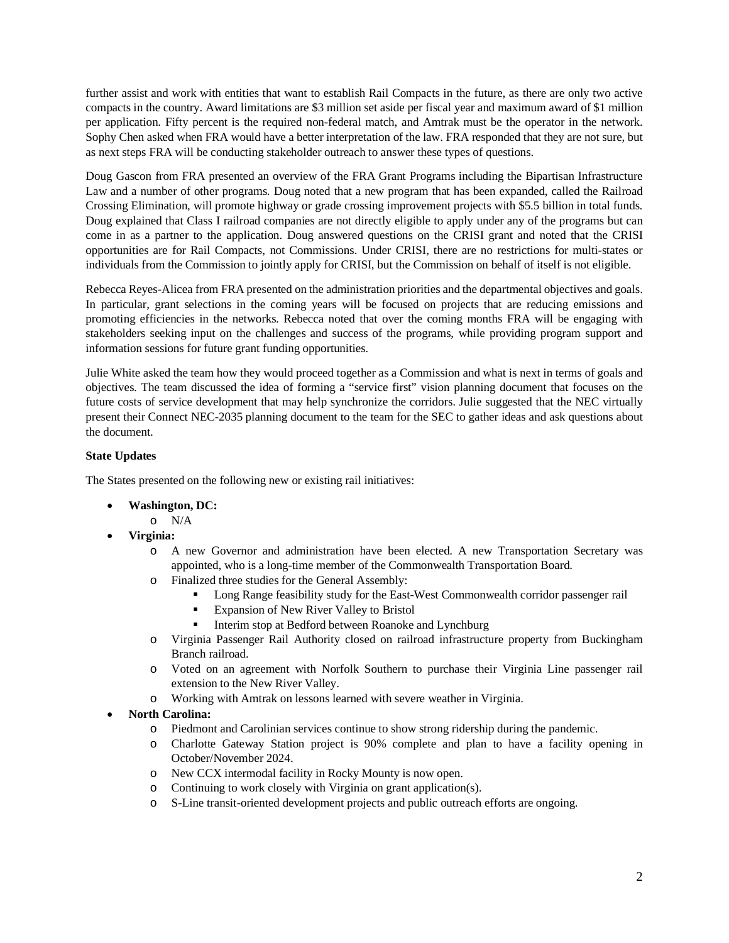further assist and work with entities that want to establish Rail Compacts in the future, as there are only two active compacts in the country. Award limitations are \$3 million set aside per fiscal year and maximum award of \$1 million per application. Fifty percent is the required non-federal match, and Amtrak must be the operator in the network. Sophy Chen asked when FRA would have a better interpretation of the law. FRA responded that they are not sure, but as next steps FRA will be conducting stakeholder outreach to answer these types of questions.

Doug Gascon from FRA presented an overview of the FRA Grant Programs including the Bipartisan Infrastructure Law and a number of other programs. Doug noted that a new program that has been expanded, called the Railroad Crossing Elimination, will promote highway or grade crossing improvement projects with \$5.5 billion in total funds. Doug explained that Class I railroad companies are not directly eligible to apply under any of the programs but can come in as a partner to the application. Doug answered questions on the CRISI grant and noted that the CRISI opportunities are for Rail Compacts, not Commissions. Under CRISI, there are no restrictions for multi-states or individuals from the Commission to jointly apply for CRISI, but the Commission on behalf of itself is not eligible.

Rebecca Reyes-Alicea from FRA presented on the administration priorities and the departmental objectives and goals. In particular, grant selections in the coming years will be focused on projects that are reducing emissions and promoting efficiencies in the networks. Rebecca noted that over the coming months FRA will be engaging with stakeholders seeking input on the challenges and success of the programs, while providing program support and information sessions for future grant funding opportunities.

Julie White asked the team how they would proceed together as a Commission and what is next in terms of goals and objectives. The team discussed the idea of forming a "service first" vision planning document that focuses on the future costs of service development that may help synchronize the corridors. Julie suggested that the NEC virtually present their Connect NEC-2035 planning document to the team for the SEC to gather ideas and ask questions about the document.

# **State Updates**

The States presented on the following new or existing rail initiatives:

- **Washington, DC:**
	- o N/A
- **Virginia:**
	- o A new Governor and administration have been elected. A new Transportation Secretary was appointed, who is a long-time member of the Commonwealth Transportation Board.
	- o Finalized three studies for the General Assembly:
		- Long Range feasibility study for the East-West Commonwealth corridor passenger rail
		- **Expansion of New River Valley to Bristol**
		- Interim stop at Bedford between Roanoke and Lynchburg
	- o Virginia Passenger Rail Authority closed on railroad infrastructure property from Buckingham Branch railroad.
	- o Voted on an agreement with Norfolk Southern to purchase their Virginia Line passenger rail extension to the New River Valley.
	- o Working with Amtrak on lessons learned with severe weather in Virginia.

# **North Carolina:**

- o Piedmont and Carolinian services continue to show strong ridership during the pandemic.
- o Charlotte Gateway Station project is 90% complete and plan to have a facility opening in October/November 2024.
- o New CCX intermodal facility in Rocky Mounty is now open.
- o Continuing to work closely with Virginia on grant application(s).
- o S-Line transit-oriented development projects and public outreach efforts are ongoing.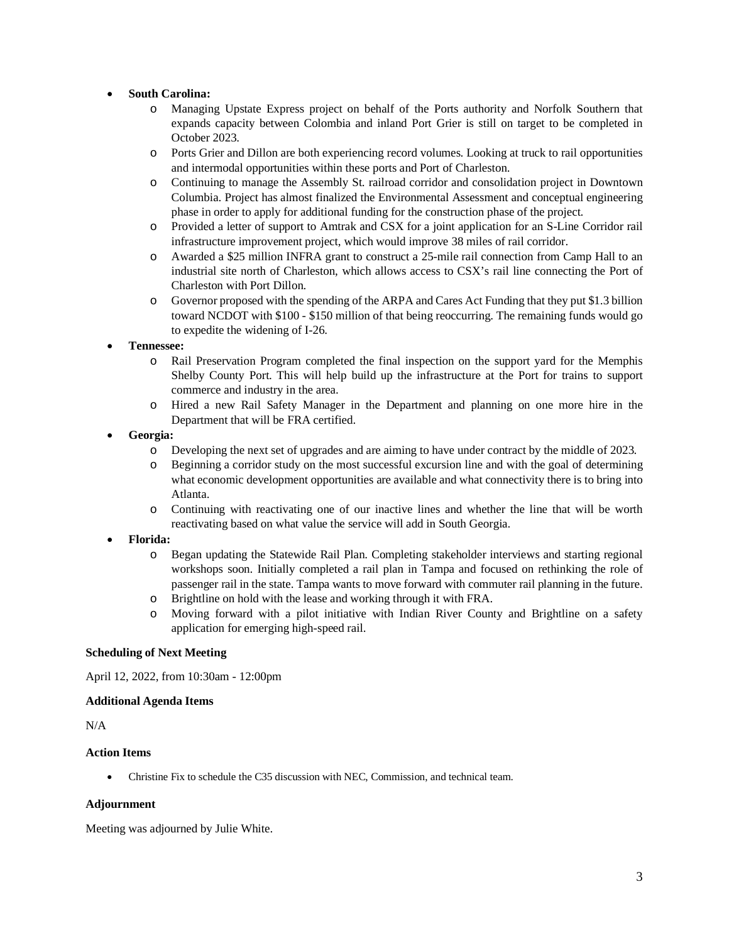# **South Carolina:**

- o Managing Upstate Express project on behalf of the Ports authority and Norfolk Southern that expands capacity between Colombia and inland Port Grier is still on target to be completed in October 2023.
- o Ports Grier and Dillon are both experiencing record volumes. Looking at truck to rail opportunities and intermodal opportunities within these ports and Port of Charleston.
- o Continuing to manage the Assembly St. railroad corridor and consolidation project in Downtown Columbia. Project has almost finalized the Environmental Assessment and conceptual engineering phase in order to apply for additional funding for the construction phase of the project.
- o Provided a letter of support to Amtrak and CSX for a joint application for an S-Line Corridor rail infrastructure improvement project, which would improve 38 miles of rail corridor.
- o Awarded a \$25 million INFRA grant to construct a 25-mile rail connection from Camp Hall to an industrial site north of Charleston, which allows access to CSX's rail line connecting the Port of Charleston with Port Dillon.
- o Governor proposed with the spending of the ARPA and Cares Act Funding that they put \$1.3 billion toward NCDOT with \$100 - \$150 million of that being reoccurring. The remaining funds would go to expedite the widening of I-26.

#### **Tennessee:**

- o Rail Preservation Program completed the final inspection on the support yard for the Memphis Shelby County Port. This will help build up the infrastructure at the Port for trains to support commerce and industry in the area.
- o Hired a new Rail Safety Manager in the Department and planning on one more hire in the Department that will be FRA certified.

#### **Georgia:**

- o Developing the next set of upgrades and are aiming to have under contract by the middle of 2023.
- o Beginning a corridor study on the most successful excursion line and with the goal of determining what economic development opportunities are available and what connectivity there is to bring into Atlanta.
- o Continuing with reactivating one of our inactive lines and whether the line that will be worth reactivating based on what value the service will add in South Georgia.

# **Florida:**

- o Began updating the Statewide Rail Plan. Completing stakeholder interviews and starting regional workshops soon. Initially completed a rail plan in Tampa and focused on rethinking the role of passenger rail in the state. Tampa wants to move forward with commuter rail planning in the future.
- o Brightline on hold with the lease and working through it with FRA.
- o Moving forward with a pilot initiative with Indian River County and Brightline on a safety application for emerging high-speed rail.

#### **Scheduling of Next Meeting**

April 12, 2022, from 10:30am - 12:00pm

#### **Additional Agenda Items**

N/A

# **Action Items**

Christine Fix to schedule the C35 discussion with NEC, Commission, and technical team.

#### **Adjournment**

Meeting was adjourned by Julie White.